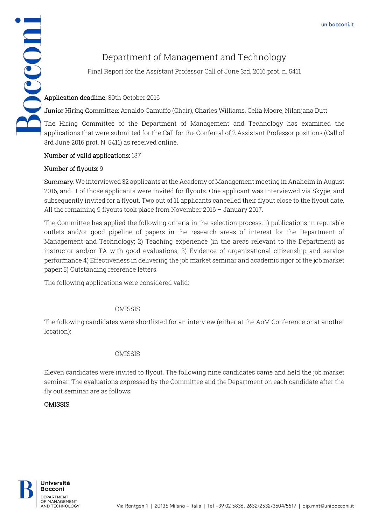# Department of Management and Technology

Final Report for the Assistant Professor Call of June 3rd, 2016 prot. n. 5411

Junior Hiring Committee: Arnaldo Camuffo (Chair), Charles Williams, Celia Moore, Nilanjana Dutt

Department of<br>Final Report for the Assis<br>Application deadline: 30th October 2016<br>Junior Hiring Committee: Arnaldo Came<br>The Hiring Committee of the Depart The Hiring Committee of the Department of Management and Technology has examined the applications that were submitted for the Call for the Conferral of 2 Assistant Professor positions (Call of 3rd June 2016 prot. N. 5411) as received online.

# Number of valid applications: 137

# Number of flyouts: 9

Summary: We interviewed 32 applicants at the Academy of Management meeting in Anaheim in August 2016, and 11 of those applicants were invited for flyouts. One applicant was interviewed via Skype, and subsequently invited for a flyout. Two out of 11 applicants cancelled their flyout close to the flyout date. All the remaining 9 flyouts took place from November 2016 – January 2017.

The Committee has applied the following criteria in the selection process: 1) publications in reputable outlets and/or good pipeline of papers in the research areas of interest for the Department of Management and Technology; 2) Teaching experience (in the areas relevant to the Department) as instructor and/or TA with good evaluations; 3) Evidence of organizational citizenship and service performance 4) Effectiveness in delivering the job market seminar and academic rigor of the job market paper; 5) Outstanding reference letters.

The following applications were considered valid:

# OMISSIS

The following candidates were shortlisted for an interview (either at the AoM Conference or at another location):

## OMISSIS

Eleven candidates were invited to flyout. The following nine candidates came and held the job market seminar. The evaluations expressed by the Committee and the Department on each candidate after the fly out seminar are as follows:

## OMISSIS